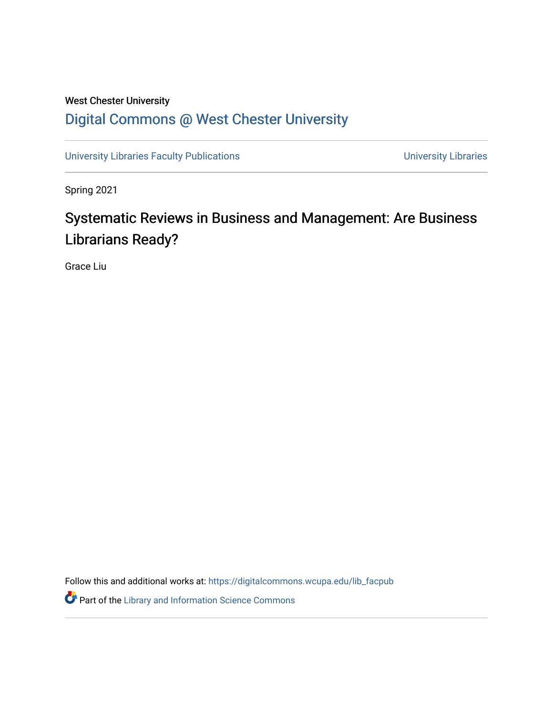# West Chester University [Digital Commons @ West Chester University](https://digitalcommons.wcupa.edu/)

[University Libraries Faculty Publications](https://digitalcommons.wcupa.edu/lib_facpub) **Exercise Serversity Libraries** University Libraries

Spring 2021

# Systematic Reviews in Business and Management: Are Business Librarians Ready?

Grace Liu

Follow this and additional works at: [https://digitalcommons.wcupa.edu/lib\\_facpub](https://digitalcommons.wcupa.edu/lib_facpub?utm_source=digitalcommons.wcupa.edu%2Flib_facpub%2F23&utm_medium=PDF&utm_campaign=PDFCoverPages)

**P** Part of the Library and Information Science Commons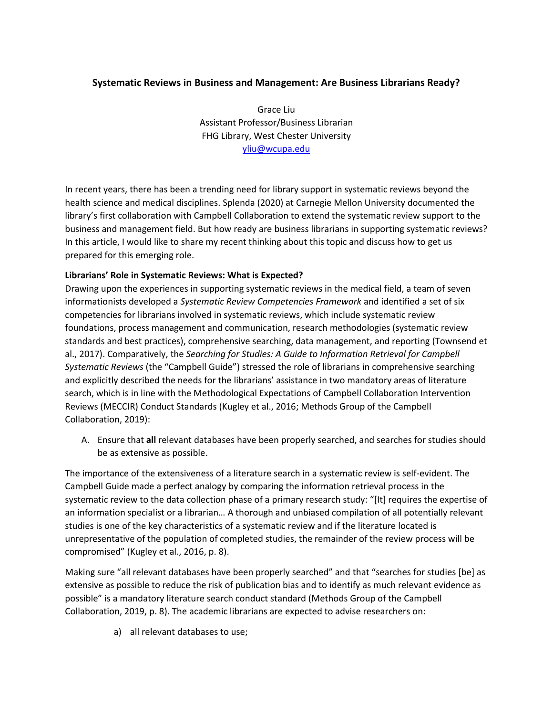# **Systematic Reviews in Business and Management: Are Business Librarians Ready?**

Grace Liu Assistant Professor/Business Librarian FHG Library, West Chester University [yliu@wcupa.edu](mailto:yliu@wcupa.edu)

In recent years, there has been a trending need for library support in systematic reviews beyond the health science and medical disciplines. Splenda (2020) at Carnegie Mellon University documented the library's first collaboration with Campbell Collaboration to extend the systematic review support to the business and management field. But how ready are business librarians in supporting systematic reviews? In this article, I would like to share my recent thinking about this topic and discuss how to get us prepared for this emerging role.

# **Librarians' Role in Systematic Reviews: What is Expected?**

Drawing upon the experiences in supporting systematic reviews in the medical field, a team of seven informationists developed a *Systematic Review Competencies Framework* and identified a set of six competencies for librarians involved in systematic reviews, which include systematic review foundations, process management and communication, research methodologies (systematic review standards and best practices), comprehensive searching, data management, and reporting (Townsend et al., 2017). Comparatively, the *Searching for Studies: A Guide to Information Retrieval for Campbell Systematic Reviews* (the "Campbell Guide") stressed the role of librarians in comprehensive searching and explicitly described the needs for the librarians' assistance in two mandatory areas of literature search, which is in line with the Methodological Expectations of Campbell Collaboration Intervention Reviews (MECCIR) Conduct Standards (Kugley et al., 2016; Methods Group of the Campbell Collaboration, 2019):

A. Ensure that **all** relevant databases have been properly searched, and searches for studies should be as extensive as possible.

The importance of the extensiveness of a literature search in a systematic review is self-evident. The Campbell Guide made a perfect analogy by comparing the information retrieval process in the systematic review to the data collection phase of a primary research study: "[It] requires the expertise of an information specialist or a librarian… A thorough and unbiased compilation of all potentially relevant studies is one of the key characteristics of a systematic review and if the literature located is unrepresentative of the population of completed studies, the remainder of the review process will be compromised" (Kugley et al., 2016, p. 8).

Making sure "all relevant databases have been properly searched" and that "searches for studies [be] as extensive as possible to reduce the risk of publication bias and to identify as much relevant evidence as possible" is a mandatory literature search conduct standard (Methods Group of the Campbell Collaboration, 2019, p. 8). The academic librarians are expected to advise researchers on:

a) all relevant databases to use;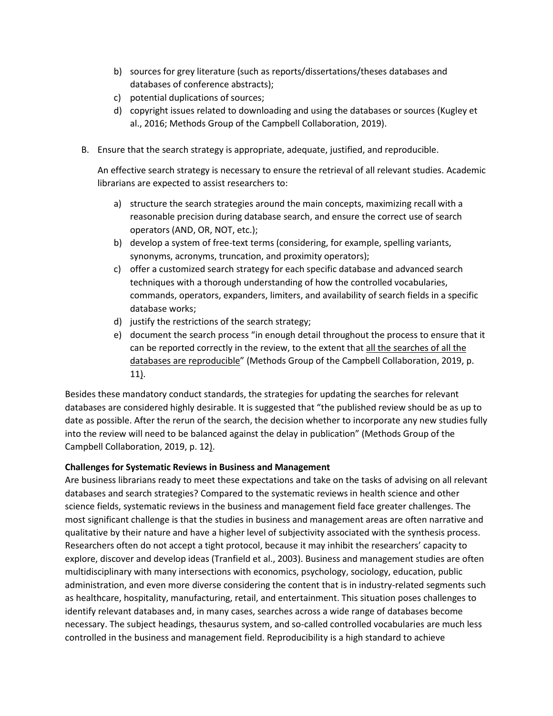- b) sources for grey literature (such as reports/dissertations/theses databases and databases of conference abstracts);
- c) potential duplications of sources;
- d) copyright issues related to downloading and using the databases or sources (Kugley et al., 2016; Methods Group of the Campbell Collaboration, 2019).
- B. Ensure that the search strategy is appropriate, adequate, justified, and reproducible.

An effective search strategy is necessary to ensure the retrieval of all relevant studies. Academic librarians are expected to assist researchers to:

- a) structure the search strategies around the main concepts, maximizing recall with a reasonable precision during database search, and ensure the correct use of search operators (AND, OR, NOT, etc.);
- b) develop a system of free-text terms (considering, for example, spelling variants, synonyms, acronyms, truncation, and proximity operators);
- c) offer a customized search strategy for each specific database and advanced search techniques with a thorough understanding of how the controlled vocabularies, commands, operators, expanders, limiters, and availability of search fields in a specific database works;
- d) justify the restrictions of the search strategy;
- e) document the search process "in enough detail throughout the process to ensure that it can be reported correctly in the review, to the extent that all the searches of all the databases are reproducible" (Methods Group of the Campbell Collaboration, 2019, p. 11).

Besides these mandatory conduct standards, the strategies for updating the searches for relevant databases are considered highly desirable. It is suggested that "the published review should be as up to date as possible. After the rerun of the search, the decision whether to incorporate any new studies fully into the review will need to be balanced against the delay in publication" (Methods Group of the Campbell Collaboration, 2019, p. 12).

#### **Challenges for Systematic Reviews in Business and Management**

Are business librarians ready to meet these expectations and take on the tasks of advising on all relevant databases and search strategies? Compared to the systematic reviews in health science and other science fields, systematic reviews in the business and management field face greater challenges. The most significant challenge is that the studies in business and management areas are often narrative and qualitative by their nature and have a higher level of subjectivity associated with the synthesis process. Researchers often do not accept a tight protocol, because it may inhibit the researchers' capacity to explore, discover and develop ideas (Tranfield et al., 2003). Business and management studies are often multidisciplinary with many intersections with economics, psychology, sociology, education, public administration, and even more diverse considering the content that is in industry-related segments such as healthcare, hospitality, manufacturing, retail, and entertainment. This situation poses challenges to identify relevant databases and, in many cases, searches across a wide range of databases become necessary. The subject headings, thesaurus system, and so-called controlled vocabularies are much less controlled in the business and management field. Reproducibility is a high standard to achieve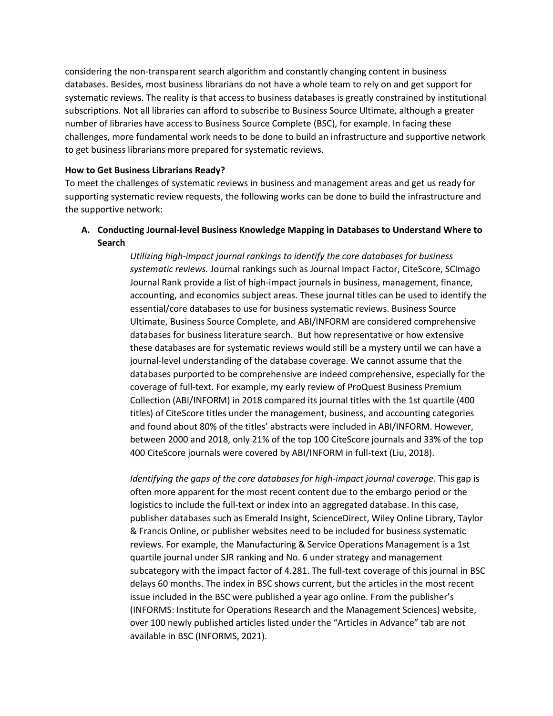considering the non-transparent search algorithm and constantly changing content in business databases. Besides, most business librarians do not have a whole team to rely on and get support for systematic reviews. The reality is that access to business databases is greatly constrained by institutional subscriptions. Not all libraries can afford to subscribe to Business Source Ultimate, although a greater number of libraries have access to Business Source Complete (BSC), for example. In facing these challenges, more fundamental work needs to be done to build an infrastructure and supportive network to get business librarians more prepared for systematic reviews.

#### **How to Get Business Librarians Ready?**

To meet the challenges of systematic reviews in business and management areas and get us ready for supporting systematic review requests, the following works can be done to build the infrastructure and the supportive network:

# **A. Conducting Journal-level Business Knowledge Mapping in Databases to Understand Where to Search**

*Utilizing high-impact journal rankings to identify the core databases for business systematic reviews.* Journal rankings such as Journal Impact Factor, CiteScore, SCImago Journal Rank provide a list of high-impact journals in business, management, finance, accounting, and economics subject areas. These journal titles can be used to identify the essential/core databases to use for business systematic reviews. Business Source Ultimate, Business Source Complete, and ABI/INFORM are considered comprehensive databases for business literature search. But how representative or how extensive these databases are for systematic reviews would still be a mystery until we can have a journal-level understanding of the database coverage. We cannot assume that the databases purported to be comprehensive are indeed comprehensive, especially for the coverage of full-text. For example, my early review of ProQuest Business Premium Collection (ABI/INFORM) in 2018 compared its journal titles with the 1st quartile (400 titles) of CiteScore titles under the management, business, and accounting categories and found about 80% of the titles' abstracts were included in ABI/INFORM. However, between 2000 and 2018, only 21% of the top 100 CiteScore journals and 33% of the top 400 CiteScore journals were covered by ABI/INFORM in full-text (Liu, 2018).

*Identifying the gaps of the core databases for high-impact journal coverage.* This gap is often more apparent for the most recent content due to the embargo period or the logistics to include the full-text or index into an aggregated database. In this case, publisher databases such as Emerald Insight, ScienceDirect, Wiley Online Library, Taylor & Francis Online, or publisher websites need to be included for business systematic reviews. For example, the Manufacturing & Service Operations Management is a 1st quartile journal under SJR ranking and No. 6 under strategy and management subcategory with the impact factor of 4.281. The full-text coverage of this journal in BSC delays 60 months. The index in BSC shows current, but the articles in the most recent issue included in the BSC were published a year ago online. From the publisher's (INFORMS: Institute for Operations Research and the Management Sciences) website, over 100 newly published articles listed under the "Articles in Advance" tab are not available in BSC (INFORMS, 2021).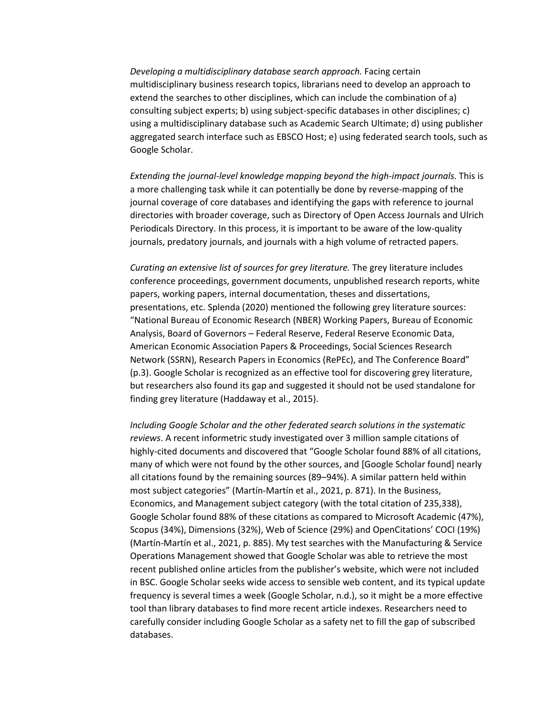*Developing a multidisciplinary database search approach.* Facing certain multidisciplinary business research topics, librarians need to develop an approach to extend the searches to other disciplines, which can include the combination of a) consulting subject experts; b) using subject-specific databases in other disciplines; c) using a multidisciplinary database such as Academic Search Ultimate; d) using publisher aggregated search interface such as EBSCO Host; e) using federated search tools, such as Google Scholar.

*Extending the journal-level knowledge mapping beyond the high-impact journals.* This is a more challenging task while it can potentially be done by reverse-mapping of the journal coverage of core databases and identifying the gaps with reference to journal directories with broader coverage, such as Directory of Open Access Journals and Ulrich Periodicals Directory. In this process, it is important to be aware of the low-quality journals, predatory journals, and journals with a high volume of retracted papers.

*Curating an extensive list of sources for grey literature.* The grey literature includes conference proceedings, government documents, unpublished research reports, white papers, working papers, internal documentation, theses and dissertations, presentations, etc. Splenda (2020) mentioned the following grey literature sources: "National Bureau of Economic Research (NBER) Working Papers, Bureau of Economic Analysis, Board of Governors – Federal Reserve, Federal Reserve Economic Data, American Economic Association Papers & Proceedings, Social Sciences Research Network (SSRN), Research Papers in Economics (RePEc), and The Conference Board" (p.3). Google Scholar is recognized as an effective tool for discovering grey literature, but researchers also found its gap and suggested it should not be used standalone for finding grey literature (Haddaway et al., 2015).

*Including Google Scholar and the other federated search solutions in the systematic reviews*. A recent informetric study investigated over 3 million sample citations of highly-cited documents and discovered that "Google Scholar found 88% of all citations, many of which were not found by the other sources, and [Google Scholar found] nearly all citations found by the remaining sources (89–94%). A similar pattern held within most subject categories" (Martín-Martín et al., 2021, p. 871). In the Business, Economics, and Management subject category (with the total citation of 235,338), Google Scholar found 88% of these citations as compared to Microsoft Academic (47%), Scopus (34%), Dimensions (32%), Web of Science (29%) and OpenCitations' COCI (19%) (Martín-Martín et al., 2021, p. 885). My test searches with the Manufacturing & Service Operations Management showed that Google Scholar was able to retrieve the most recent published online articles from the publisher's website, which were not included in BSC. Google Scholar seeks wide access to sensible web content, and its typical update frequency is several times a week (Google Scholar, n.d.), so it might be a more effective tool than library databases to find more recent article indexes. Researchers need to carefully consider including Google Scholar as a safety net to fill the gap of subscribed databases.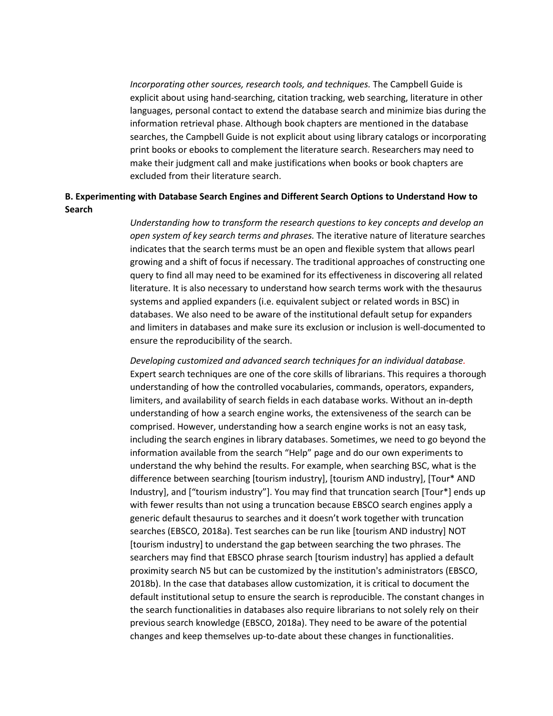*Incorporating other sources, research tools, and techniques.* The Campbell Guide is explicit about using hand-searching, citation tracking, web searching, literature in other languages, personal contact to extend the database search and minimize bias during the information retrieval phase. Although book chapters are mentioned in the database searches, the Campbell Guide is not explicit about using library catalogs or incorporating print books or ebooks to complement the literature search. Researchers may need to make their judgment call and make justifications when books or book chapters are excluded from their literature search.

# **B. Experimenting with Database Search Engines and Different Search Options to Understand How to Search**

*Understanding how to transform the research questions to key concepts and develop an open system of key search terms and phrases.* The iterative nature of literature searches indicates that the search terms must be an open and flexible system that allows pearl growing and a shift of focus if necessary. The traditional approaches of constructing one query to find all may need to be examined for its effectiveness in discovering all related literature. It is also necessary to understand how search terms work with the thesaurus systems and applied expanders (i.e. equivalent subject or related words in BSC) in databases. We also need to be aware of the institutional default setup for expanders and limiters in databases and make sure its exclusion or inclusion is well-documented to ensure the reproducibility of the search.

*Developing customized and advanced search techniques for an individual database.*  Expert search techniques are one of the core skills of librarians. This requires a thorough understanding of how the controlled vocabularies, commands, operators, expanders, limiters, and availability of search fields in each database works. Without an in-depth understanding of how a search engine works, the extensiveness of the search can be comprised. However, understanding how a search engine works is not an easy task, including the search engines in library databases. Sometimes, we need to go beyond the information available from the search "Help" page and do our own experiments to understand the why behind the results. For example, when searching BSC, what is the difference between searching [tourism industry], [tourism AND industry], [Tour\* AND Industry], and ["tourism industry"]. You may find that truncation search [Tour\*] ends up with fewer results than not using a truncation because EBSCO search engines apply a generic default thesaurus to searches and it doesn't work together with truncation searches (EBSCO, 2018a). Test searches can be run like [tourism AND industry] NOT [tourism industry] to understand the gap between searching the two phrases. The searchers may find that EBSCO phrase search [tourism industry] has applied a default proximity search N5 but can be customized by the institution's administrators (EBSCO, 2018b). In the case that databases allow customization, it is critical to document the default institutional setup to ensure the search is reproducible. The constant changes in the search functionalities in databases also require librarians to not solely rely on their previous search knowledge (EBSCO, 2018a). They need to be aware of the potential changes and keep themselves up-to-date about these changes in functionalities.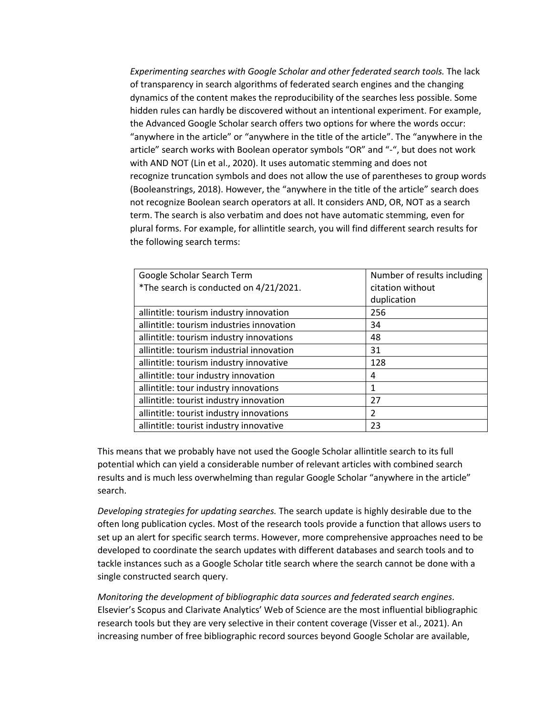*Experimenting searches with Google Scholar and other federated search tools.* The lack of transparency in search algorithms of federated search engines and the changing dynamics of the content makes the reproducibility of the searches less possible. Some hidden rules can hardly be discovered without an intentional experiment. For example, the Advanced Google Scholar search offers two options for where the words occur: "anywhere in the article" or "anywhere in the title of the article". The "anywhere in the article" search works with Boolean operator symbols "OR" and "-", but does not work with AND NOT (Lin et al., 2020). It uses automatic stemming and does not recognize truncation symbols and does not allow the use of parentheses to group words (Booleanstrings, 2018). However, the "anywhere in the title of the article" search does not recognize Boolean search operators at all. It considers AND, OR, NOT as a search term. The search is also verbatim and does not have automatic stemming, even for plural forms. For example, for allintitle search, you will find different search results for the following search terms:

| Google Scholar Search Term                | Number of results including |
|-------------------------------------------|-----------------------------|
| *The search is conducted on 4/21/2021.    | citation without            |
|                                           | duplication                 |
| allintitle: tourism industry innovation   | 256                         |
| allintitle: tourism industries innovation | 34                          |
| allintitle: tourism industry innovations  | 48                          |
| allintitle: tourism industrial innovation | 31                          |
| allintitle: tourism industry innovative   | 128                         |
| allintitle: tour industry innovation      | 4                           |
| allintitle: tour industry innovations     | 1                           |
| allintitle: tourist industry innovation   | 27                          |
| allintitle: tourist industry innovations  | 2                           |
| allintitle: tourist industry innovative   | 23                          |

This means that we probably have not used the Google Scholar allintitle search to its full potential which can yield a considerable number of relevant articles with combined search results and is much less overwhelming than regular Google Scholar "anywhere in the article" search.

*Developing strategies for updating searches.* The search update is highly desirable due to the often long publication cycles. Most of the research tools provide a function that allows users to set up an alert for specific search terms. However, more comprehensive approaches need to be developed to coordinate the search updates with different databases and search tools and to tackle instances such as a Google Scholar title search where the search cannot be done with a single constructed search query.

*Monitoring the development of bibliographic data sources and federated search engines.* Elsevier's Scopus and Clarivate Analytics' Web of Science are the most influential bibliographic research tools but they are very selective in their content coverage (Visser et al., 2021). An increasing number of free bibliographic record sources beyond Google Scholar are available,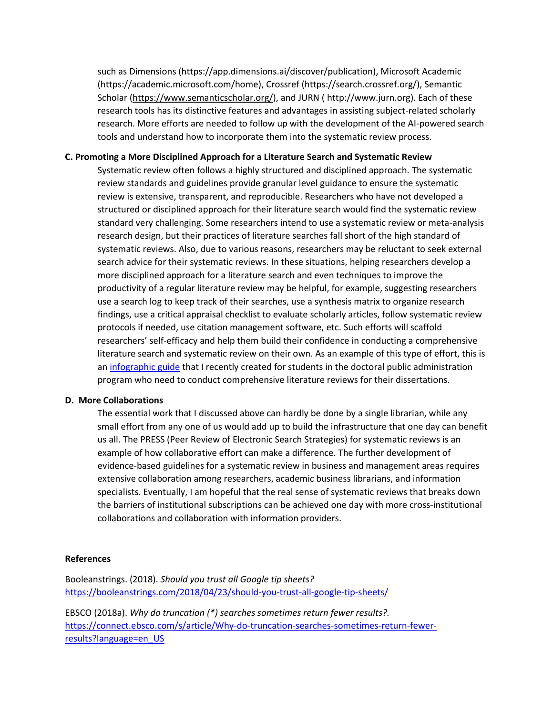such as Dimensions (https://app.dimensions.ai/discover/publication), Microsoft Academic (https://academic.microsoft.com/home), Crossref (https://search.crossref.org/), Semantic Scholar [\(https://www.semanticscholar.org/\)](https://www.semanticscholar.org/), and JURN ( [http://www.jurn.org\)](http://www.jurn.org/). Each of these research tools has its distinctive features and advantages in assisting subject-related scholarly research. More efforts are needed to follow up with the development of the AI-powered search tools and understand how to incorporate them into the systematic review process.

### **C. Promoting a More Disciplined Approach for a Literature Search and Systematic Review**

Systematic review often follows a highly structured and disciplined approach. The systematic review standards and guidelines provide granular level guidance to ensure the systematic review is extensive, transparent, and reproducible. Researchers who have not developed a structured or disciplined approach for their literature search would find the systematic review standard very challenging. Some researchers intend to use a systematic review or meta-analysis research design, but their practices of literature searches fall short of the high standard of systematic reviews. Also, due to various reasons, researchers may be reluctant to seek external search advice for their systematic reviews. In these situations, helping researchers develop a more disciplined approach for a literature search and even techniques to improve the productivity of a regular literature review may be helpful, for example, suggesting researchers use a search log to keep track of their searches, use a synthesis matrix to organize research findings, use a critical appraisal checklist to evaluate scholarly articles, follow systematic review protocols if needed, use citation management software, etc. Such efforts will scaffold researchers' self-efficacy and help them build their confidence in conducting a comprehensive literature search and systematic review on their own. As an example of this type of effort, this is a[n infographic guide](https://library.wcupa.edu/lit_rev_pa) that I recently created for students in the doctoral public administration program who need to conduct comprehensive literature reviews for their dissertations.

#### **D. More Collaborations**

The essential work that I discussed above can hardly be done by a single librarian, while any small effort from any one of us would add up to build the infrastructure that one day can benefit us all. The PRESS (Peer Review of Electronic Search Strategies) for systematic reviews is an example of how collaborative effort can make a difference. The further development of evidence-based guidelines for a systematic review in business and management areas requires extensive collaboration among researchers, academic business librarians, and information specialists. Eventually, I am hopeful that the real sense of systematic reviews that breaks down the barriers of institutional subscriptions can be achieved one day with more cross-institutional collaborations and collaboration with information providers.

#### **References**

Booleanstrings. (2018). *Should you trust all Google tip sheets?* <https://booleanstrings.com/2018/04/23/should-you-trust-all-google-tip-sheets/>

EBSCO (2018a). *Why do truncation (\*) searches sometimes return fewer results?.* [https://connect.ebsco.com/s/article/Why-do-truncation-searches-sometimes-return-fewer](https://connect.ebsco.com/s/article/Why-do-truncation-searches-sometimes-return-fewer-results?language=en_USS)[results?language=en\\_US](https://connect.ebsco.com/s/article/Why-do-truncation-searches-sometimes-return-fewer-results?language=en_USS)